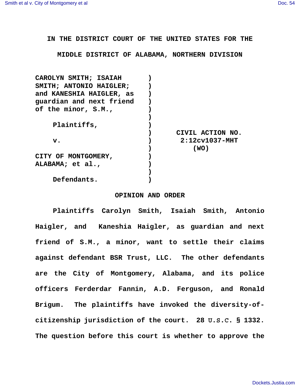**IN THE DISTRICT COURT OF THE UNITED STATES FOR THE**

**MIDDLE DISTRICT OF ALABAMA, NORTHERN DIVISION**

| CAROLYN SMITH; ISAIAH    |                      |
|--------------------------|----------------------|
| SMITH; ANTONIO HAIGLER;  |                      |
| and KANESHIA HAIGLER, as |                      |
| guardian and next friend |                      |
| of the minor, S.M.,      |                      |
|                          |                      |
| Plaintiffs,              |                      |
|                          | CIVIL ACTION NO.     |
| $\mathbf{v}$ .           | $2:12c v 1037 - MHT$ |
|                          | (WO)                 |
| CITY OF MONTGOMERY,      |                      |
| ALABAMA; et al.,         |                      |
|                          |                      |
| Defendants.              |                      |
|                          |                      |

## **OPINION AND ORDER**

**Plaintiffs Carolyn Smith, Isaiah Smith, Antonio Haigler, and Kaneshia Haigler, as guardian and next friend of S.M., a minor, want to settle their claims against defendant BSR Trust, LLC. The other defendants are the City of Montgomery, Alabama, and its police officers Ferderdar Fannin, A.D. Ferguson, and Ronald Brigum. The plaintiffs have invoked the diversity-ofcitizenship jurisdiction of the court. 28 U.S.C. § 1332. The question before this court is whether to approve the**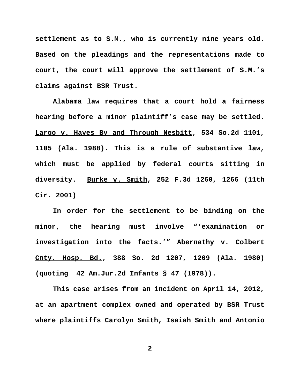**settlement as to S.M., who is currently nine years old. Based on the pleadings and the representations made to court, the court will approve the settlement of S.M.'s claims against BSR Trust.**

**Alabama law requires that a court hold a fairness hearing before a minor plaintiff's case may be settled. Largo v. Hayes By and Through Nesbitt, 534 So.2d 1101, 1105 (Ala. 1988). This is a rule of substantive law, which must be applied by federal courts sitting in diversity. Burke v. Smith, 252 F.3d 1260, 1266 (11th Cir. 2001)**

**In order for the settlement to be binding on the minor, the hearing must involve "'examination or investigation into the facts.'" Abernathy v. Colbert Cnty. Hosp. Bd., 388 So. 2d 1207, 1209 (Ala. 1980) (quoting 42 Am.Jur.2d Infants § 47 (1978)).**

**This case arises from an incident on April 14, 2012, at an apartment complex owned and operated by BSR Trust where plaintiffs Carolyn Smith, Isaiah Smith and Antonio**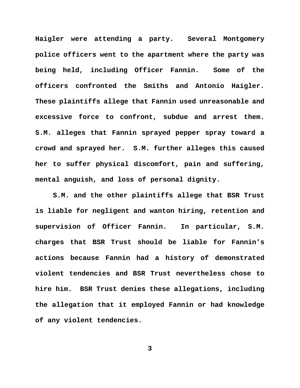**Haigler were attending a party. Several Montgomery police officers went to the apartment where the party was being held, including Officer Fannin. Some of the officers confronted the Smiths and Antonio Haigler. These plaintiffs allege that Fannin used unreasonable and excessive force to confront, subdue and arrest them. S.M. alleges that Fannin sprayed pepper spray toward a crowd and sprayed her. S.M. further alleges this caused her to suffer physical discomfort, pain and suffering, mental anguish, and loss of personal dignity.**

**S.M. and the other plaintiffs allege that BSR Trust is liable for negligent and wanton hiring, retention and supervision of Officer Fannin. In particular, S.M. charges that BSR Trust should be liable for Fannin's actions because Fannin had a history of demonstrated violent tendencies and BSR Trust nevertheless chose to hire him. BSR Trust denies these allegations, including the allegation that it employed Fannin or had knowledge of any violent tendencies.**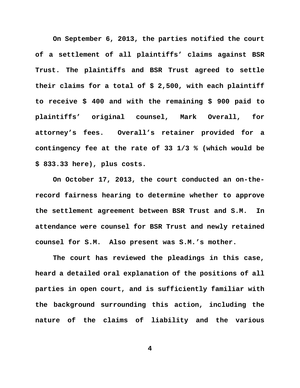**On September 6, 2013, the parties notified the court of a settlement of all plaintiffs' claims against BSR Trust. The plaintiffs and BSR Trust agreed to settle their claims for a total of \$ 2,500, with each plaintiff to receive \$ 400 and with the remaining \$ 900 paid to plaintiffs' original counsel, Mark Overall, for attorney's fees. Overall's retainer provided for a contingency fee at the rate of 33 1/3 % (which would be \$ 833.33 here), plus costs.** 

**On October 17, 2013, the court conducted an on-therecord fairness hearing to determine whether to approve the settlement agreement between BSR Trust and S.M. In attendance were counsel for BSR Trust and newly retained counsel for S.M. Also present was S.M.'s mother.**

**The court has reviewed the pleadings in this case, heard a detailed oral explanation of the positions of all parties in open court, and is sufficiently familiar with the background surrounding this action, including the nature of the claims of liability and the various**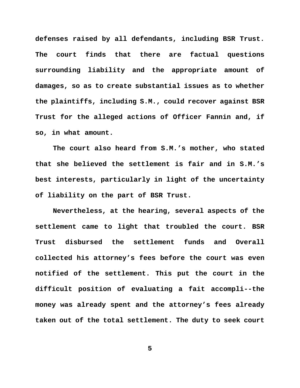**defenses raised by all defendants, including BSR Trust. The court finds that there are factual questions surrounding liability and the appropriate amount of damages, so as to create substantial issues as to whether the plaintiffs, including S.M., could recover against BSR Trust for the alleged actions of Officer Fannin and, if so, in what amount.** 

**The court also heard from S.M.'s mother, who stated that she believed the settlement is fair and in S.M.'s best interests, particularly in light of the uncertainty of liability on the part of BSR Trust.**

**Nevertheless, at the hearing, several aspects of the settlement came to light that troubled the court. BSR Trust disbursed the settlement funds and Overall collected his attorney's fees before the court was even notified of the settlement. This put the court in the difficult position of evaluating a fait accompli--the money was already spent and the attorney's fees already taken out of the total settlement. The duty to seek court**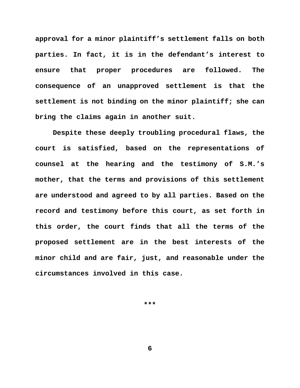**approval for a minor plaintiff's settlement falls on both parties. In fact, it is in the defendant's interest to ensure that proper procedures are followed. The consequence of an unapproved settlement is that the settlement is not binding on the minor plaintiff; she can bring the claims again in another suit.**

**Despite these deeply troubling procedural flaws, the court is satisfied, based on the representations of counsel at the hearing and the testimony of S.M.'s mother, that the terms and provisions of this settlement are understood and agreed to by all parties. Based on the record and testimony before this court, as set forth in this order, the court finds that all the terms of the proposed settlement are in the best interests of the minor child and are fair, just, and reasonable under the circumstances involved in this case.** 

**\*\*\***